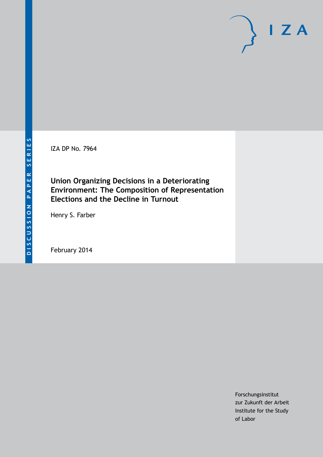IZA DP No. 7964

**Union Organizing Decisions in a Deteriorating Environment: The Composition of Representation Elections and the Decline in Turnout**

Henry S. Farber

February 2014

Forschungsinstitut zur Zukunft der Arbeit Institute for the Study of Labor

 $I Z A$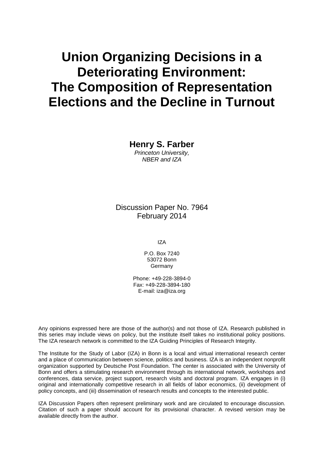# **Union Organizing Decisions in a Deteriorating Environment: The Composition of Representation Elections and the Decline in Turnout**

**Henry S. Farber** *Princeton University, NBER and IZA*

Discussion Paper No. 7964 February 2014

IZA

P.O. Box 7240 53072 Bonn **Germany** 

Phone: +49-228-3894-0 Fax: +49-228-3894-180 E-mail: [iza@iza.org](mailto:iza@iza.org)

Any opinions expressed here are those of the author(s) and not those of IZA. Research published in this series may include views on policy, but the institute itself takes no institutional policy positions. The IZA research network is committed to the IZA Guiding Principles of Research Integrity.

The Institute for the Study of Labor (IZA) in Bonn is a local and virtual international research center and a place of communication between science, politics and business. IZA is an independent nonprofit organization supported by Deutsche Post Foundation. The center is associated with the University of Bonn and offers a stimulating research environment through its international network, workshops and conferences, data service, project support, research visits and doctoral program. IZA engages in (i) original and internationally competitive research in all fields of labor economics, (ii) development of policy concepts, and (iii) dissemination of research results and concepts to the interested public.

IZA Discussion Papers often represent preliminary work and are circulated to encourage discussion. Citation of such a paper should account for its provisional character. A revised version may be available directly from the author.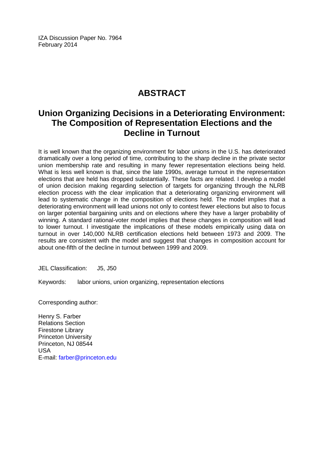IZA Discussion Paper No. 7964 February 2014

# **ABSTRACT**

# **Union Organizing Decisions in a Deteriorating Environment: The Composition of Representation Elections and the Decline in Turnout**

It is well known that the organizing environment for labor unions in the U.S. has deteriorated dramatically over a long period of time, contributing to the sharp decline in the private sector union membership rate and resulting in many fewer representation elections being held. What is less well known is that, since the late 1990s, average turnout in the representation elections that are held has dropped substantially. These facts are related. I develop a model of union decision making regarding selection of targets for organizing through the NLRB election process with the clear implication that a deteriorating organizing environment will lead to systematic change in the composition of elections held. The model implies that a deteriorating environment will lead unions not only to contest fewer elections but also to focus on larger potential bargaining units and on elections where they have a larger probability of winning. A standard rational-voter model implies that these changes in composition will lead to lower turnout. I investigate the implications of these models empirically using data on turnout in over 140,000 NLRB certification elections held between 1973 and 2009. The results are consistent with the model and suggest that changes in composition account for about one-fifth of the decline in turnout between 1999 and 2009.

JEL Classification: J5, J50

Keywords: labor unions, union organizing, representation elections

Corresponding author:

Henry S. Farber Relations Section Firestone Library Princeton University Princeton, NJ 08544 USA E-mail: [farber@princeton.edu](mailto:farber@princeton.edu)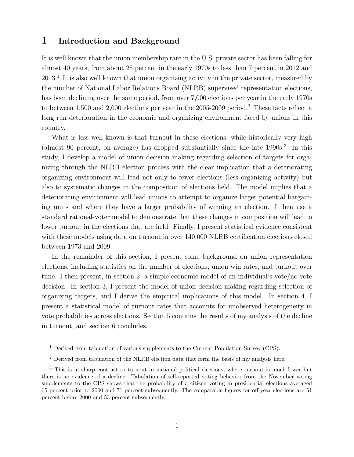#### 1 Introduction and Background

It is well known that the union membership rate in the U.S. private sector has been falling for almost 40 years, from about 25 percent in the early 1970s to less than 7 percent in 2012 and 2013.<sup>1</sup> It is also well known that union organizing activity in the private sector, measured by the number of National Labor Relations Board (NLRB) supervised representation elections, has been declining over the same period, from over 7,000 elections per year in the early 1970s to between 1,500 and 2,000 elections per year in the 2005-2009 period.<sup>2</sup> These facts reflect a long run deterioration in the economic and organizing environment faced by unions in this country.

What is less well known is that turnout in these elections, while historically very high (almost 90 percent, on average) has dropped substantially since the late 1990s.<sup>3</sup> In this study, I develop a model of union decision making regarding selection of targets for organizing through the NLRB election process with the clear implication that a deteriorating organizing environment will lead not only to fewer elections (less organizing activity) but also to systematic changes in the composition of elections held. The model implies that a deteriorating environment will lead unions to attempt to organize larger potential bargaining units and where they have a larger probability of winning an election. I then use a standard rational-voter model to demonstrate that these changes in composition will lead to lower turnout in the elections that are held. Finally, I present statistical evidence consistent with these models using data on turnout in over 140,000 NLRB certification elections closed between 1973 and 2009.

In the remainder of this section, I present some background on union representation elections, including statistics on the number of elections, union win rates, and turnout over time. I then present, in section 2, a simple economic model of an individual's vote/no-vote decision. In section 3, I present the model of union decision making regarding selection of organizing targets, and I derive the empirical implications of this model. In section 4, I present a statistical model of turnout rates that accounts for unobserved heterogeneity in vote probabilities across elections. Section 5 contains the results of my analysis of the decline in turnout, and section 6 concludes.

<sup>&</sup>lt;sup>1</sup> Derived from tabulation of various supplements to the Current Population Survey (CPS).

<sup>&</sup>lt;sup>2</sup> Derived from tabulation of the NLRB election data that form the basis of my analysis here.

<sup>3</sup> This is in sharp contrast to turnout in national political elections, where turnout is much lower but there is no evidence of a decline. Tabulation of self-reported voting behavior from the November voting supplements to the CPS shows that the probability of a citizen voting in presidential elections averaged 65 percent prior to 2000 and 71 percent subsequently. The comparable figures for off-year elections are 51 percent before 2000 and 53 percent subsequently.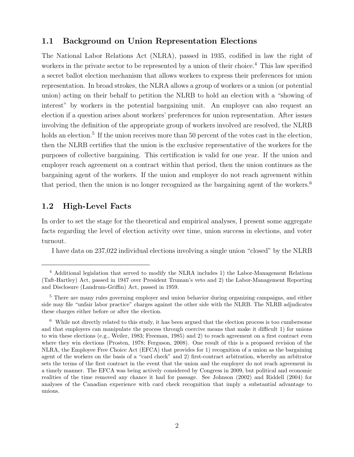#### 1.1 Background on Union Representation Elections

The National Labor Relations Act (NLRA), passed in 1935, codified in law the right of workers in the private sector to be represented by a union of their choice.<sup>4</sup> This law specified a secret ballot election mechanism that allows workers to express their preferences for union representation. In broad strokes, the NLRA allows a group of workers or a union (or potential union) acting on their behalf to petition the NLRB to hold an election with a "showing of interest" by workers in the potential bargaining unit. An employer can also request an election if a question arises about workers' preferences for union representation. After issues involving the definition of the appropriate group of workers involved are resolved, the NLRB holds an election.<sup>5</sup> If the union receives more than 50 percent of the votes cast in the election, then the NLRB certifies that the union is the exclusive representative of the workers for the purposes of collective bargaining. This certification is valid for one year. If the union and employer reach agreement on a contract within that period, then the union continues as the bargaining agent of the workers. If the union and employer do not reach agreement within that period, then the union is no longer recognized as the bargaining agent of the workers.<sup>6</sup>

#### 1.2 High-Level Facts

In order to set the stage for the theoretical and empirical analyses, I present some aggregate facts regarding the level of election activity over time, union success in elections, and voter turnout.

I have data on 237,022 individual elections involving a single union "closed" by the NLRB

<sup>4</sup> Additional legislation that served to modify the NLRA includes 1) the Labor-Management Relations (Taft-Hartley) Act, passed in 1947 over President Truman's veto and 2) the Labor-Management Reporting and Disclosure (Landrum-Griffin) Act, passed in 1959.

<sup>5</sup> There are many rules governing employer and union behavior during organizing campaigns, and either side may file "unfair labor practice" charges against the other side with the NLRB. The NLRB adjudicates these charges either before or after the election.

<sup>6</sup> While not directly related to this study, it has been argued that the election process is too cumbersome and that employers can manipulate the process through coercive means that make it difficult 1) for unions to win these elections (e.g., Weiler, 1983; Freeman, 1985) and 2) to reach agreement on a first contract even where they win elections (Prosten, 1978; Ferguson, 2008). One result of this is a proposed revision of the NLRA, the Employee Free Choice Act (EFCA) that provides for 1) recognition of a union as the bargaining agent of the workers on the basis of a "card check" and 2) first-contract arbitration, whereby an arbitrator sets the terms of the first contract in the event that the union and the employer do not reach agreement in a timely manner. The EFCA was being actively considered by Congress in 2009, but political and economic realities of the time removed any chance it had for passage. See Johnson (2002) and Riddell (2004) for analyses of the Canadian experience with card check recognition that imply a substantial advantage to unions.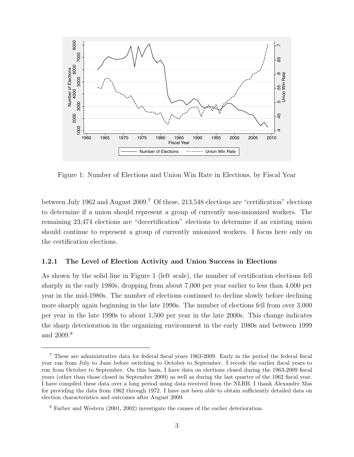

Figure 1: Number of Elections and Union Win Rate in Elections, by Fiscal Year

between July 1962 and August 2009.<sup>7</sup> Of these, 213,548 elections are "certification" elections to determine if a union should represent a group of currently non-unionized workers. The remaining 23,474 elections are "decertification" elections to determine if an existing union should continue to represent a group of currently unionized workers. I focus here only on the certification elections.

#### 1.2.1 The Level of Election Activity and Union Success in Elections

As shown by the solid line in Figure 1 (left scale), the number of certification elections fell sharply in the early 1980s, dropping from about 7,000 per year earlier to less than 4,000 per year in the mid-1980s. The number of elections continued to decline slowly before declining more sharply again beginning in the late 1990s. The number of elections fell from over 3,000 per year in the late 1990s to about 1,500 per year in the late 2000s. This change indicates the sharp deterioration in the organizing environment in the early 1980s and between 1999 and 2009.<sup>8</sup>

<sup>7</sup> These are administrative data for federal fiscal years 1963-2009. Early in the period the federal fiscal year ran from July to June before switching to October to September. I recode the earlier fiscal years to run from October to September. On this basis, I have data on elections closed during the 1963-2009 fiscal years (other than those closed in September 2009) as well as during the last quarter of the 1962 fiscal year. I have compiled these data over a long period using data received from the NLRB. I thank Alexandre Mas for providing the data from 1962 through 1972. I have not been able to obtain sufficiently detailed data on election characteristics and outcomes after August 2009.

<sup>8</sup> Farber and Western (2001, 2002) investigate the causes of the earlier deterioration.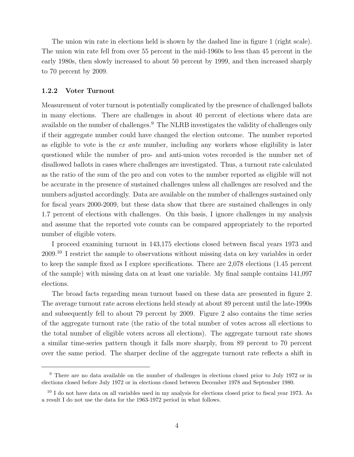The union win rate in elections held is shown by the dashed line in figure 1 (right scale). The union win rate fell from over 55 percent in the mid-1960s to less than 45 percent in the early 1980s, then slowly increased to about 50 percent by 1999, and then increased sharply to 70 percent by 2009.

#### 1.2.2 Voter Turnout

Measurement of voter turnout is potentially complicated by the presence of challenged ballots in many elections. There are challenges in about 40 percent of elections where data are available on the number of challenges.<sup>9</sup> The NLRB investigates the validity of challenges only if their aggregate number could have changed the election outcome. The number reported as eligible to vote is the ex ante number, including any workers whose eligibility is later questioned while the number of pro- and anti-union votes recorded is the number net of disallowed ballots in cases where challenges are investigated. Thus, a turnout rate calculated as the ratio of the sum of the pro and con votes to the number reported as eligible will not be accurate in the presence of sustained challenges unless all challenges are resolved and the numbers adjusted accordingly. Data are available on the number of challenges sustained only for fiscal years 2000-2009, but these data show that there are sustained challenges in only 1.7 percent of elections with challenges. On this basis, I ignore challenges in my analysis and assume that the reported vote counts can be compared appropriately to the reported number of eligible voters.

I proceed examining turnout in 143,175 elections closed between fiscal years 1973 and 2009.<sup>10</sup> I restrict the sample to observations without missing data on key variables in order to keep the sample fixed as I explore specifications. There are 2,078 elections (1.45 percent of the sample) with missing data on at least one variable. My final sample contains 141,097 elections.

The broad facts regarding mean turnout based on these data are presented in figure 2. The average turnout rate across elections held steady at about 89 percent until the late-1990s and subsequently fell to about 79 percent by 2009. Figure 2 also contains the time series of the aggregate turnout rate (the ratio of the total number of votes across all elections to the total number of eligible voters across all elections). The aggregate turnout rate shows a similar time-series pattern though it falls more sharply, from 89 percent to 70 percent over the same period. The sharper decline of the aggregate turnout rate reflects a shift in

<sup>9</sup> There are no data available on the number of challenges in elections closed prior to July 1972 or in elections closed before July 1972 or in elections closed between December 1978 and September 1980.

 $10 \text{ I}$  do not have data on all variables used in my analysis for elections closed prior to fiscal year 1973. As a result I do not use the data for the 1963-1972 period in what follows.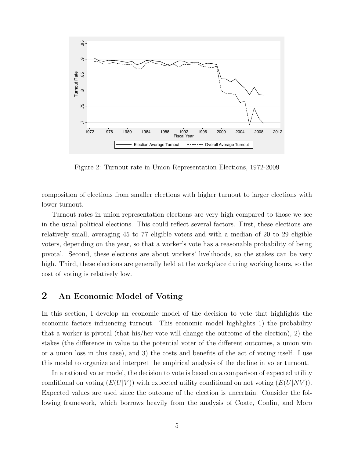

Figure 2: Turnout rate in Union Representation Elections, 1972-2009

composition of elections from smaller elections with higher turnout to larger elections with lower turnout.

Turnout rates in union representation elections are very high compared to those we see in the usual political elections. This could reflect several factors. First, these elections are relatively small, averaging 45 to 77 eligible voters and with a median of 20 to 29 eligible voters, depending on the year, so that a worker's vote has a reasonable probability of being pivotal. Second, these elections are about workers' livelihoods, so the stakes can be very high. Third, these elections are generally held at the workplace during working hours, so the cost of voting is relatively low.

## 2 An Economic Model of Voting

In this section, I develop an economic model of the decision to vote that highlights the economic factors influencing turnout. This economic model highlights 1) the probability that a worker is pivotal (that his/her vote will change the outcome of the election), 2) the stakes (the difference in value to the potential voter of the different outcomes, a union win or a union loss in this case), and 3) the costs and benefits of the act of voting itself. I use this model to organize and interpret the empirical analysis of the decline in voter turnout.

In a rational voter model, the decision to vote is based on a comparison of expected utility conditional on voting  $(E(U|V))$  with expected utility conditional on not voting  $(E(U|NV))$ . Expected values are used since the outcome of the election is uncertain. Consider the following framework, which borrows heavily from the analysis of Coate, Conlin, and Moro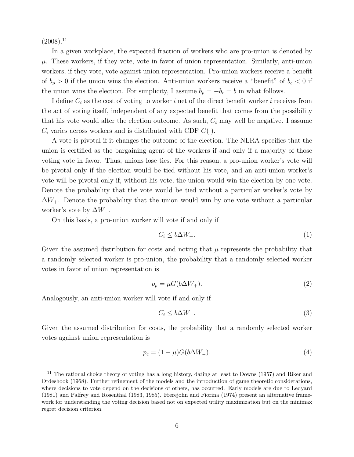$(2008).$ <sup>11</sup>

In a given workplace, the expected fraction of workers who are pro-union is denoted by  $\mu$ . These workers, if they vote, vote in favor of union representation. Similarly, anti-union workers, if they vote, vote against union representation. Pro-union workers receive a benefit of  $b_p > 0$  if the union wins the election. Anti-union workers receive a "benefit" of  $b_c < 0$  if the union wins the election. For simplicity, I assume  $b_p = -b_c = b$  in what follows.

I define  $C_i$  as the cost of voting to worker i net of the direct benefit worker i receives from the act of voting itself, independent of any expected benefit that comes from the possibility that his vote would alter the election outcome. As such,  $C_i$  may well be negative. I assume  $C_i$  varies across workers and is distributed with CDF  $G(\cdot)$ .

A vote is pivotal if it changes the outcome of the election. The NLRA specifies that the union is certified as the bargaining agent of the workers if and only if a majority of those voting vote in favor. Thus, unions lose ties. For this reason, a pro-union worker's vote will be pivotal only if the election would be tied without his vote, and an anti-union worker's vote will be pivotal only if, without his vote, the union would win the election by one vote. Denote the probability that the vote would be tied without a particular worker's vote by  $\Delta W_+$ . Denote the probability that the union would win by one vote without a particular worker's vote by  $\Delta W_-\$ .

On this basis, a pro-union worker will vote if and only if

$$
C_i \le b\Delta W_+.\tag{1}
$$

Given the assumed distribution for costs and noting that  $\mu$  represents the probability that a randomly selected worker is pro-union, the probability that a randomly selected worker votes in favor of union representation is

$$
p_p = \mu G(b\Delta W_+). \tag{2}
$$

Analogously, an anti-union worker will vote if and only if

$$
C_i \le b\Delta W_-\tag{3}
$$

Given the assumed distribution for costs, the probability that a randomly selected worker votes against union representation is

$$
p_c = (1 - \mu)G(b\Delta W_-). \tag{4}
$$

<sup>&</sup>lt;sup>11</sup> The rational choice theory of voting has a long history, dating at least to Downs (1957) and Riker and Ordeshook (1968). Further refinement of the models and the introduction of game theoretic considerations, where decisions to vote depend on the decisions of others, has occurred. Early models are due to Ledyard (1981) and Palfrey and Rosenthal (1983, 1985). Frerejohn and Fiorina (1974) present an alternative framework for understanding the voting decision based not on expected utility maximization but on the minimax regret decision criterion.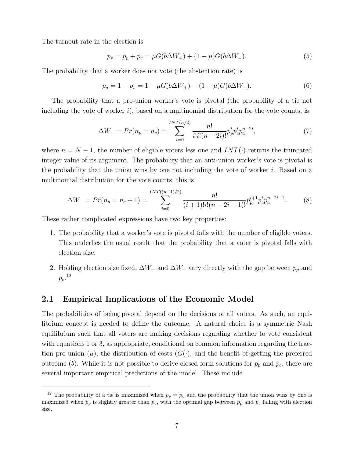The turnout rate in the election is

$$
p_v = p_p + p_c = \mu G(b\Delta W_+) + (1 - \mu)G(b\Delta W_-). \tag{5}
$$

The probability that a worker does not vote (the abstention rate) is

$$
p_a = 1 - p_v = 1 - \mu G(b\Delta W_+) - (1 - \mu)G(b\Delta W_-). \tag{6}
$$

The probability that a pro-union worker's vote is pivotal (the probability of a tie not including the vote of worker  $i$ ), based on a multinomial distribution for the vote counts, is

$$
\Delta W_{+} = Pr(n_p = n_c) = \sum_{i=0}^{INT(n/2)} \frac{n!}{i!i!(n-2i)!} p_p^i p_c^i p_a^{n-2i}, \tag{7}
$$

where  $n = N - 1$ , the number of eligible voters less one and  $INT(\cdot)$  returns the truncated integer value of its argument. The probability that an anti-union worker's vote is pivotal is the probability that the union wins by one not including the vote of worker  $i$ . Based on a multinomial distribution for the vote counts, this is

$$
\Delta W_{-} = Pr(n_p = n_c + 1) = \sum_{i=0}^{INT((n-1)/2)} \frac{n!}{(i+1)!i!(n-2i-1)!} p_p^{i+1} p_c^i p_a^{n-2i-1}.
$$
 (8)

These rather complicated expressions have two key properties:

- 1. The probability that a worker's vote is pivotal falls with the number of eligible voters. This underlies the usual result that the probability that a voter is pivotal falls with election size.
- 2. Holding election size fixed,  $\Delta W_+$  and  $\Delta W_-$  vary directly with the gap between  $p_p$  and  $p_c$ .<sup>12</sup>

#### 2.1 Empirical Implications of the Economic Model

The probabilities of being pivotal depend on the decisions of all voters. As such, an equilibrium concept is needed to define the outcome. A natural choice is a symmetric Nash equilibrium such that all voters are making decisions regarding whether to vote consistent with equations 1 or 3, as appropriate, conditional on common information regarding the fraction pro-union  $(\mu)$ , the distribution of costs  $(G(\cdot))$ , and the benefit of getting the preferred outcome (b). While it is not possible to derive closed form solutions for  $p_p$  and  $p_c$ , there are several important empirical predictions of the model. These include

<sup>&</sup>lt;sup>12</sup> The probability of a tie is maximized when  $p_p = p_c$  and the probability that the union wins by one is maximized when  $p_p$  is slightly greater than  $p_c$ , with the optimal gap between  $p_p$  and  $p_c$  falling with election size.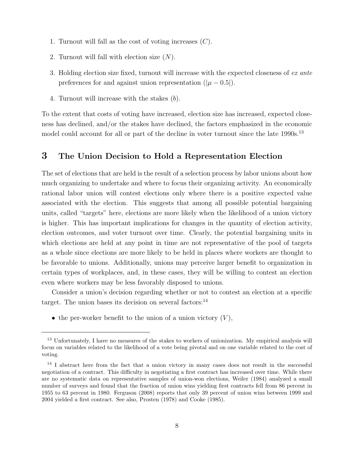- 1. Turnout will fall as the cost of voting increases  $(C)$ .
- 2. Turnout will fall with election size  $(N)$ .
- 3. Holding election size fixed, turnout will increase with the expected closeness of ex ante preferences for and against union representation ( $|\mu - 0.5|$ ).
- 4. Turnout will increase with the stakes (b).

To the extent that costs of voting have increased, election size has increased, expected closeness has declined, and/or the stakes have declined, the factors emphasized in the economic model could account for all or part of the decline in voter turnout since the late 1990s.<sup>13</sup>

### 3 The Union Decision to Hold a Representation Election

The set of elections that are held is the result of a selection process by labor unions about how much organizing to undertake and where to focus their organizing activity. An economically rational labor union will contest elections only where there is a positive expected value associated with the election. This suggests that among all possible potential bargaining units, called "targets" here, elections are more likely when the likelihood of a union victory is higher. This has important implications for changes in the quantity of election activity, election outcomes, and voter turnout over time. Clearly, the potential bargaining units in which elections are held at any point in time are not representative of the pool of targets as a whole since elections are more likely to be held in places where workers are thought to be favorable to unions. Additionally, unions may perceive larger benefit to organization in certain types of workplaces, and, in these cases, they will be willing to contest an election even where workers may be less favorably disposed to unions.

Consider a union's decision regarding whether or not to contest an election at a specific target. The union bases its decision on several factors: $^{14}$ 

• the per-worker benefit to the union of a union victory  $(V)$ ,

<sup>&</sup>lt;sup>13</sup> Unfortunately, I have no measures of the stakes to workers of unionization. My empirical analysis will focus on variables related to the likelihood of a vote being pivotal and on one variable related to the cost of voting.

<sup>&</sup>lt;sup>14</sup> I abstract here from the fact that a union victory in many cases does not result in the successful negotiation of a contract. This difficulty in negotiating a first contract has increased over time. While there are no systematic data on representative samples of union-won elections, Weiler (1984) analyzed a small number of surveys and found that the fraction of union wins yielding first contracts fell from 86 percent in 1955 to 63 percent in 1980. Ferguson (2008) reports that only 39 percent of union wins between 1999 and 2004 yielded a first contract. See also, Prosten (1978) and Cooke (1985).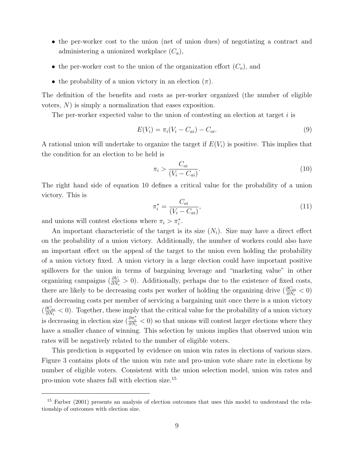- the per-worker cost to the union (net of union dues) of negotiating a contract and administering a unionized workplace  $(C_a)$ ,
- the per-worker cost to the union of the organization effort  $(C_o)$ , and
- the probability of a union victory in an election  $(\pi)$ .

The definition of the benefits and costs as per-worker organized (the number of eligible voters, N) is simply a normalization that eases exposition.

The per-worker expected value to the union of contesting an election at target  $i$  is

$$
E(V_i) = \pi_i (V_i - C_{ai}) - C_{oi}.
$$
\n(9)

A rational union will undertake to organize the target if  $E(V_i)$  is positive. This implies that the condition for an election to be held is

$$
\pi_i > \frac{C_{oi}}{(V_i - C_{ai})}.\tag{10}
$$

The right hand side of equation 10 defines a critical value for the probability of a union victory. This is

$$
\pi_i^* = \frac{C_{oi}}{(V_i - C_{ai})},\tag{11}
$$

and unions will contest elections where  $\pi_i > \pi_i^*$ .

An important characteristic of the target is its size  $(N_i)$ . Size may have a direct effect on the probability of a union victory. Additionally, the number of workers could also have an important effect on the appeal of the target to the union even holding the probability of a union victory fixed. A union victory in a large election could have important positive spillovers for the union in terms of bargaining leverage and "marketing value" in other organizing campaigns  $(\frac{\partial V_i}{\partial N_i} > 0)$ . Additionally, perhaps due to the existence of fixed costs, there are likely to be decreasing costs per worker of holding the organizing drive  $(\frac{\partial C_{oi}}{\partial N_i} < 0)$ and decreasing costs per member of servicing a bargaining unit once there is a union victory  $\left(\frac{\partial C_{ai}}{\partial N}\right)$  $\frac{\partial C_{ai}}{\partial N_i}$  < 0). Together, these imply that the critical value for the probability of a union victory is decreasing in election size  $(\frac{\partial \pi_i^*}{\partial N_i} < 0)$  so that unions will contest larger elections where they have a smaller chance of winning. This selection by unions implies that observed union win rates will be negatively related to the number of eligible voters.

This prediction is supported by evidence on union win rates in elections of various sizes. Figure 3 contains plots of the union win rate and pro-union vote share rate in elections by number of eligible voters. Consistent with the union selection model, union win rates and pro-union vote shares fall with election size.<sup>15</sup>

<sup>15</sup> Farber (2001) presents an analysis of election outcomes that uses this model to understand the relationship of outcomes with election size.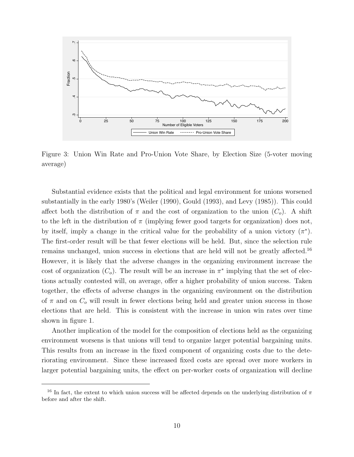

Figure 3: Union Win Rate and Pro-Union Vote Share, by Election Size (5-voter moving average)

Substantial evidence exists that the political and legal environment for unions worsened substantially in the early 1980's (Weiler (1990), Gould (1993), and Levy (1985)). This could affect both the distribution of  $\pi$  and the cost of organization to the union  $(C_o)$ . A shift to the left in the distribution of  $\pi$  (implying fewer good targets for organization) does not, by itself, imply a change in the critical value for the probability of a union victory  $(\pi^*)$ . The first-order result will be that fewer elections will be held. But, since the selection rule remains unchanged, union success in elections that are held will not be greatly affected.<sup>16</sup> However, it is likely that the adverse changes in the organizing environment increase the cost of organization  $(C_o)$ . The result will be an increase in  $\pi^*$  implying that the set of elections actually contested will, on average, offer a higher probability of union success. Taken together, the effects of adverse changes in the organizing environment on the distribution of  $\pi$  and on  $C<sub>o</sub>$  will result in fewer elections being held and greater union success in those elections that are held. This is consistent with the increase in union win rates over time shown in figure 1.

Another implication of the model for the composition of elections held as the organizing environment worsens is that unions will tend to organize larger potential bargaining units. This results from an increase in the fixed component of organizing costs due to the deteriorating environment. Since these increased fixed costs are spread over more workers in larger potential bargaining units, the effect on per-worker costs of organization will decline

<sup>&</sup>lt;sup>16</sup> In fact, the extent to which union success will be affected depends on the underlying distribution of  $\pi$ before and after the shift.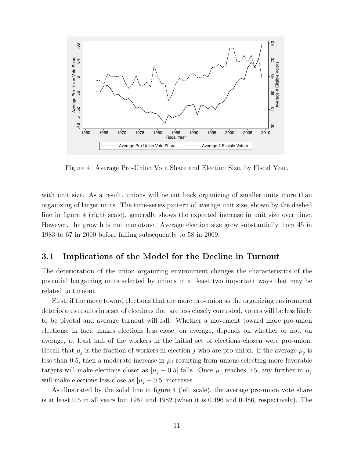

Figure 4: Average Pro-Union Vote Share and Election Size, by Fiscal Year.

with unit size. As a result, unions will be cut back organizing of smaller units more than organizing of larger units. The time-series pattern of average unit size, shown by the dashed line in figure 4 (right scale), generally shows the expected increase in unit size over time. However, the growth is not monotone. Average election size grew substantially from 45 in 1983 to 67 in 2000 before falling subsequently to 58 in 2009.

#### 3.1 Implications of the Model for the Decline in Turnout

The deterioration of the union organizing environment changes the characteristics of the potential bargaining units selected by unions in at least two important ways that may be related to turnout.

First, if the move toward elections that are more pro-union as the organizing environment deteriorates results in a set of elections that are less closely contested, voters will be less likely to be pivotal and average turnout will fall. Whether a movement toward more pro-union elections, in fact, makes elections less close, on average, depends on whether or not, on average, at least half of the workers in the initial set of elections chosen were pro-union. Recall that  $\mu_j$  is the fraction of workers in election j who are pro-union. If the average  $\mu_j$  is less than 0.5, then a moderate increase in  $\mu_j$  resulting from unions selecting more favorable targets will make elections closer as  $|\mu_j - 0.5|$  falls. Once  $\mu_j$  reaches 0.5, any further in  $\mu_j$ will make elections less close as  $|\mu_j - 0.5|$  increases.

As illustrated by the solid line in figure 4 (left scale), the average pro-union vote share is at least 0.5 in all years but 1981 and 1982 (when it is 0.496 and 0.486, respectively). The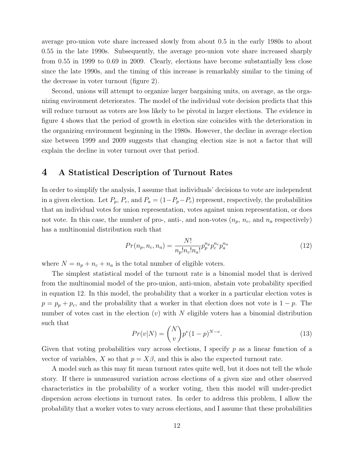average pro-union vote share increased slowly from about 0.5 in the early 1980s to about 0.55 in the late 1990s. Subsequently, the average pro-union vote share increased sharply from 0.55 in 1999 to 0.69 in 2009. Clearly, elections have become substantially less close since the late 1990s, and the timing of this increase is remarkably similar to the timing of the decrease in voter turnout (figure 2).

Second, unions will attempt to organize larger bargaining units, on average, as the organizing environment deteriorates. The model of the individual vote decision predicts that this will reduce turnout as voters are less likely to be pivotal in larger elections. The evidence in figure 4 shows that the period of growth in election size coincides with the deterioration in the organizing environment beginning in the 1980s. However, the decline in average election size between 1999 and 2009 suggests that changing election size is not a factor that will explain the decline in voter turnout over that period.

#### 4 A Statistical Description of Turnout Rates

In order to simplify the analysis, I assume that individuals' decisions to vote are independent in a given election. Let  $P_p$ ,  $P_c$ , and  $P_a = (1 - P_p - P_c)$  represent, respectively, the probabilities that an individual votes for union representation, votes against union representation, or does not vote. In this case, the number of pro-, anti-, and non-votes  $(n_p, n_c, \text{ and } n_a \text{ respectively})$ has a multinomial distribution such that

$$
Pr(n_p, n_c, n_a) = \frac{N!}{n_p! n_c! n_a!} p_p^{n_p} p_c^{n_c} p_a^{n_a}
$$
\n(12)

where  $N = n_p + n_c + n_a$  is the total number of eligible voters.

The simplest statistical model of the turnout rate is a binomial model that is derived from the multinomial model of the pro-union, anti-union, abstain vote probability specified in equation 12. In this model, the probability that a worker in a particular election votes is  $p = p_p + p_c$ , and the probability that a worker in that election does not vote is  $1 - p$ . The number of votes cast in the election  $(v)$  with N eligible voters has a binomial distribution such that

$$
Pr(v|N) = \binom{N}{v} p^{v} (1-p)^{N-v}.
$$
\n(13)

Given that voting probabilities vary across elections, I specify  $p$  as a linear function of a vector of variables, X so that  $p = X\beta$ , and this is also the expected turnout rate.

A model such as this may fit mean turnout rates quite well, but it does not tell the whole story. If there is unmeasured variation across elections of a given size and other observed characteristics in the probability of a worker voting, then this model will under-predict dispersion across elections in turnout rates. In order to address this problem, I allow the probability that a worker votes to vary across elections, and I assume that these probabilities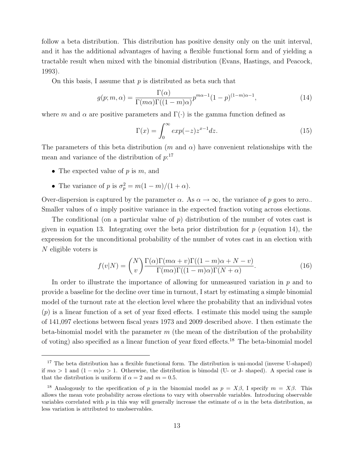follow a beta distribution. This distribution has positive density only on the unit interval, and it has the additional advantages of having a flexible functional form and of yielding a tractable result when mixed with the binomial distribution (Evans, Hastings, and Peacock, 1993).

On this basis, I assume that  $p$  is distributed as beta such that

$$
g(p;m,\alpha) = \frac{\Gamma(\alpha)}{\Gamma(m\alpha)\Gamma((1-m)\alpha)} p^{m\alpha-1} (1-p)^{(1-m)\alpha-1},
$$
\n(14)

where m and  $\alpha$  are positive parameters and  $\Gamma(\cdot)$  is the gamma function defined as

$$
\Gamma(x) = \int_0^\infty \exp(-z) z^{x-1} dz.
$$
\n(15)

The parameters of this beta distribution (m and  $\alpha$ ) have convenient relationships with the mean and variance of the distribution of  $p$ <sup>17</sup>

- The expected value of  $p$  is  $m$ , and
- The variance of p is  $\sigma_p^2 = m(1-m)/(1+\alpha)$ .

Over-dispersion is captured by the parameter  $\alpha$ . As  $\alpha \to \infty$ , the variance of p goes to zero.. Smaller values of  $\alpha$  imply positive variance in the expected fraction voting across elections.

The conditional (on a particular value of  $p$ ) distribution of the number of votes cast is given in equation 13. Integrating over the beta prior distribution for  $p$  (equation 14), the expression for the unconditional probability of the number of votes cast in an election with N eligible voters is

$$
f(v|N) = {N \choose v} \frac{\Gamma(\alpha)\Gamma(m\alpha + v)\Gamma((1-m)\alpha + N - v)}{\Gamma(m\alpha)\Gamma((1-m)\alpha)\Gamma(N + \alpha)}.
$$
 (16)

In order to illustrate the importance of allowing for unmeasured variation in  $p$  and to provide a baseline for the decline over time in turnout, I start by estimating a simple binomial model of the turnout rate at the election level where the probability that an individual votes  $(p)$  is a linear function of a set of year fixed effects. I estimate this model using the sample of 141,097 elections between fiscal years 1973 and 2009 described above. I then estimate the beta-binomial model with the parameter  $m$  (the mean of the distribution of the probability of voting) also specified as a linear function of year fixed effects.<sup>18</sup> The beta-binomial model

<sup>&</sup>lt;sup>17</sup> The beta distribution has a flexible functional form. The distribution is uni-modal (inverse U-shaped) if  $m\alpha > 1$  and  $(1 - m)\alpha > 1$ . Otherwise, the distribution is bimodal (U- or J- shaped). A special case is that the distribution is uniform if  $\alpha = 2$  and  $m = 0.5$ .

<sup>&</sup>lt;sup>18</sup> Analogously to the specification of p in the binomial model as  $p = X\beta$ , I specify  $m = X\beta$ . This allows the mean vote probability across elections to vary with observable variables. Introducing observable variables correlated with p in this way will generally increase the estimate of  $\alpha$  in the beta distribution, as less variation is attributed to unobservables.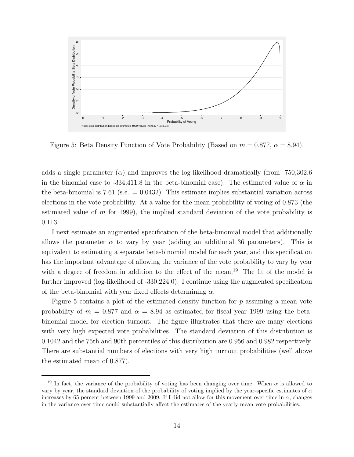

Figure 5: Beta Density Function of Vote Probability (Based on  $m = 0.877$ ,  $\alpha = 8.94$ ).

adds a single parameter  $(\alpha)$  and improves the log-likelihood dramatically (from -750,302.6) in the binomial case to  $-334,411.8$  in the beta-binomial case). The estimated value of  $\alpha$  in the beta-binomial is 7.61 (s.e.  $= 0.0432$ ). This estimate implies substantial variation across elections in the vote probability. At a value for the mean probability of voting of 0.873 (the estimated value of m for 1999), the implied standard deviation of the vote probability is 0.113.

I next estimate an augmented specification of the beta-binomial model that additionally allows the parameter  $\alpha$  to vary by year (adding an additional 36 parameters). This is equivalent to estimating a separate beta-binomial model for each year, and this specification has the important advantage of allowing the variance of the vote probability to vary by year with a degree of freedom in addition to the effect of the mean.<sup>19</sup> The fit of the model is further improved (log-likelihood of -330,224.0). I continue using the augmented specification of the beta-binomial with year fixed effects determining  $\alpha$ .

Figure 5 contains a plot of the estimated density function for  $p$  assuming a mean vote probability of  $m = 0.877$  and  $\alpha = 8.94$  as estimated for fiscal year 1999 using the betabinomial model for election turnout. The figure illustrates that there are many elections with very high expected vote probabilities. The standard deviation of this distribution is 0.1042 and the 75th and 90th percentiles of this distribution are 0.956 and 0.982 respectively. There are substantial numbers of elections with very high turnout probabilities (well above the estimated mean of 0.877).

<sup>&</sup>lt;sup>19</sup> In fact, the variance of the probability of voting has been changing over time. When  $\alpha$  is allowed to vary by year, the standard deviation of the probability of voting implied by the year-specific estimates of  $\alpha$ increases by 65 percent between 1999 and 2009. If I did not allow for this movement over time in  $\alpha$ , changes in the variance over time could substantially affect the estimates of the yearly mean vote probabilities.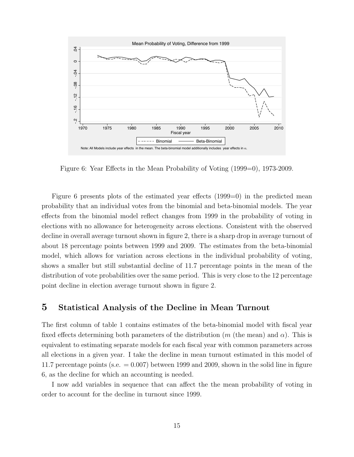

Figure 6: Year Effects in the Mean Probability of Voting (1999=0), 1973-2009.

Figure 6 presents plots of the estimated year effects (1999=0) in the predicted mean probability that an individual votes from the binomial and beta-binomial models. The year effects from the binomial model reflect changes from 1999 in the probability of voting in elections with no allowance for heterogeneity across elections. Consistent with the observed decline in overall average turnout shown in figure 2, there is a sharp drop in average turnout of about 18 percentage points between 1999 and 2009. The estimates from the beta-binomial model, which allows for variation across elections in the individual probability of voting, shows a smaller but still substantial decline of 11.7 percentage points in the mean of the distribution of vote probabilities over the same period. This is very close to the 12 percentage point decline in election average turnout shown in figure 2.

#### 5 Statistical Analysis of the Decline in Mean Turnout

The first column of table 1 contains estimates of the beta-binomial model with fiscal year fixed effects determining both parameters of the distribution (m (the mean) and  $\alpha$ ). This is equivalent to estimating separate models for each fiscal year with common parameters across all elections in a given year. I take the decline in mean turnout estimated in this model of 11.7 percentage points (s.e.  $= 0.007$ ) between 1999 and 2009, shown in the solid line in figure 6, as the decline for which an accounting is needed.

I now add variables in sequence that can affect the the mean probability of voting in order to account for the decline in turnout since 1999.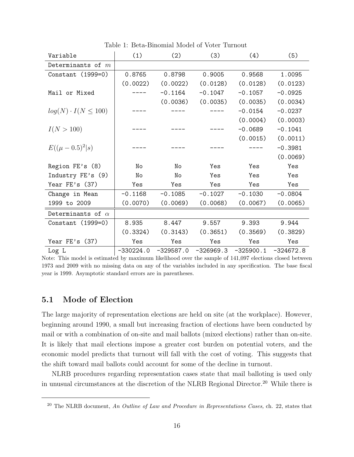| Variable                     | (1)         | (2)       | (3)                     | (4)       | (5)                   |
|------------------------------|-------------|-----------|-------------------------|-----------|-----------------------|
| Determinants of $m$          |             |           |                         |           |                       |
| Constant $(1999=0)$          | 0.8765      | 0.8798    | 0.9005                  | 0.9568    | 1.0095                |
|                              | (0.0022)    | (0.0022)  | (0.0128)                | (0.0128)  | (0.0123)              |
| Mail or Mixed                |             | $-0.1164$ | $-0.1047$               | $-0.1057$ | $-0.0925$             |
|                              |             | (0.0036)  | (0.0035)                | (0.0035)  | (0.0034)              |
| $log(N) \cdot I(N \leq 100)$ |             |           |                         | $-0.0154$ | $-0.0237$             |
|                              |             |           |                         | (0.0004)  | (0.0003)              |
| I(N > 100)                   |             |           |                         | $-0.0689$ | $-0.1041$             |
|                              |             |           |                         | (0.0015)  | (0.0011)              |
| $E((\mu-0.5)^2 s)$           |             |           |                         |           | $-0.3981$             |
|                              |             |           |                         |           | (0.0069)              |
| Region FE's (8)              | No          | No        | Yes                     | Yes       | Yes                   |
| Industry FE's (9)            | No          | No        | Yes                     | Yes       | Yes                   |
| Year FE's (37)               | Yes         | Yes       | Yes                     | Yes       | Yes                   |
| Change in Mean               | $-0.1168$   | $-0.1085$ | $-0.1027$               | $-0.1030$ | $-0.0804$             |
| 1999 to 2009                 | (0.0070)    | (0.0069)  | (0.0068)                | (0.0067)  | (0.0065)              |
| Determinants of $\alpha$     |             |           |                         |           |                       |
| Constant $(1999=0)$          | 8.935       | 8.447     | 9.557                   | 9.393     | 9.944                 |
|                              | (0.3324)    | (0.3143)  | (0.3651)                | (0.3569)  | (0.3829)              |
| Year $FE's$ (37)             | Yes         | Yes       | Yes                     | Yes       | Yes                   |
| Log L                        | $-330224.0$ |           | $-329587.0$ $-326969.3$ |           | $-325900.1 -324672.8$ |

Table 1: Beta-Binomial Model of Voter Turnout

Note: This model is estimated by maximum likelihood over the sample of 141,097 elections closed between 1973 and 2009 with no missing data on any of the variables included in any specification. The base fiscal year is 1999. Asymptotic standard errors are in parentheses.

#### 5.1 Mode of Election

The large majority of representation elections are held on site (at the workplace). However, beginning around 1990, a small but increasing fraction of elections have been conducted by mail or with a combination of on-site and mail ballots (mixed elections) rather than on-site. It is likely that mail elections impose a greater cost burden on potential voters, and the economic model predicts that turnout will fall with the cost of voting. This suggests that the shift toward mail ballots could account for some of the decline in turnout.

NLRB procedures regarding representation cases state that mail balloting is used only in unusual circumstances at the discretion of the NLRB Regional Director.<sup>20</sup> While there is

<sup>&</sup>lt;sup>20</sup> The NLRB document, An Outline of Law and Procedure in Representations Cases, ch. 22, states that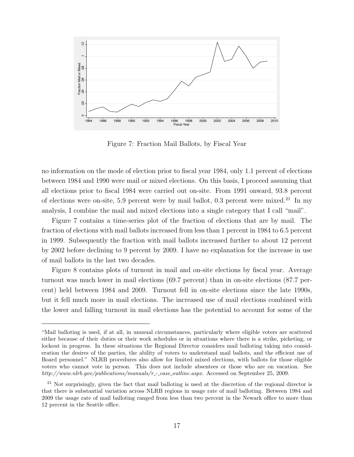

Figure 7: Fraction Mail Ballots, by Fiscal Year

no information on the mode of election prior to fiscal year 1984, only 1.1 percent of elections between 1984 and 1990 were mail or mixed elections. On this basis, I proceed assuming that all elections prior to fiscal 1984 were carried out on-site. From 1991 onward, 93.8 percent of elections were on-site, 5.9 percent were by mail ballot, 0.3 percent were mixed.<sup>21</sup> In my analysis, I combine the mail and mixed elections into a single category that I call "mail".

Figure 7 contains a time-series plot of the fraction of elections that are by mail. The fraction of elections with mail ballots increased from less than 1 percent in 1984 to 6.5 percent in 1999. Subsequently the fraction with mail ballots increased further to about 12 percent by 2002 before declining to 9 percent by 2009. I have no explanation for the increase in use of mail ballots in the last two decades.

Figure 8 contains plots of turnout in mail and on-site elections by fiscal year. Average turnout was much lower in mail elections (69.7 percent) than in on-site elections (87.7 percent) held between 1984 and 2009. Turnout fell in on-site elections since the late 1990s, but it fell much more in mail elections. The increased use of mail elections combined with the lower and falling turnout in mail elections has the potential to account for some of the

<sup>&</sup>quot;Mail balloting is used, if at all, in unusual circumstances, particularly where eligible voters are scattered either because of their duties or their work schedules or in situations where there is a strike, picketing, or lockout in progress. In these situations the Regional Director considers mail balloting taking into consideration the desires of the parties, the ability of voters to understand mail ballots, and the efficient use of Board personnel." NLRB procedures also allow for limited mixed elections, with ballots for those eligible voters who cannot vote in person. This does not include absentees or those who are on vacation. See http://www.nlrb.gov/publications/manuals/r\_-case\_outline.aspx. Accessed on September 25, 2009.

<sup>&</sup>lt;sup>21</sup> Not surprisingly, given the fact that mail balloting is used at the discretion of the regional director is that there is substantial variation across NLRB regions in usage rate of mail balloting. Between 1984 and 2009 the usage rate of mail balloting ranged from less than two percent in the Newark office to more than 12 percent in the Seattle office.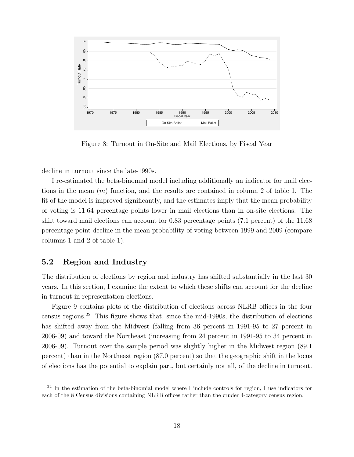

Figure 8: Turnout in On-Site and Mail Elections, by Fiscal Year

decline in turnout since the late-1990s.

I re-estimated the beta-binomial model including additionally an indicator for mail elections in the mean  $(m)$  function, and the results are contained in column 2 of table 1. The fit of the model is improved significantly, and the estimates imply that the mean probability of voting is 11.64 percentage points lower in mail elections than in on-site elections. The shift toward mail elections can account for 0.83 percentage points (7.1 percent) of the 11.68 percentage point decline in the mean probability of voting between 1999 and 2009 (compare columns 1 and 2 of table 1).

#### 5.2 Region and Industry

The distribution of elections by region and industry has shifted substantially in the last 30 years. In this section, I examine the extent to which these shifts can account for the decline in turnout in representation elections.

Figure 9 contains plots of the distribution of elections across NLRB offices in the four census regions.<sup>22</sup> This figure shows that, since the mid-1990s, the distribution of elections has shifted away from the Midwest (falling from 36 percent in 1991-95 to 27 percent in 2006-09) and toward the Northeast (increasing from 24 percent in 1991-95 to 34 percent in 2006-09). Turnout over the sample period was slightly higher in the Midwest region (89.1 percent) than in the Northeast region (87.0 percent) so that the geographic shift in the locus of elections has the potential to explain part, but certainly not all, of the decline in turnout.

<sup>&</sup>lt;sup>22</sup> In the estimation of the beta-binomial model where I include controls for region, I use indicators for each of the 8 Census divisions containing NLRB offices rather than the cruder 4-category census region.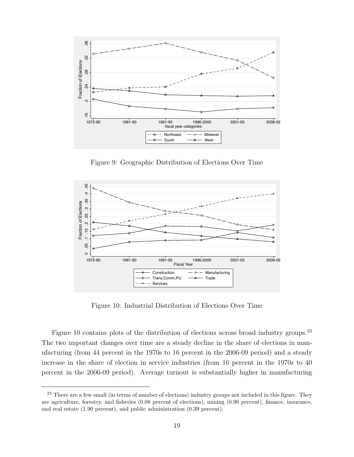

Figure 9: Geographic Distribution of Elections Over Time



Figure 10: Industrial Distribution of Elections Over Time

Figure 10 contains plots of the distribution of elections across broad industry groups.<sup>23</sup> The two important changes over time are a steady decline in the share of elections in manufacturing (from 44 percent in the 1970s to 16 percent in the 2006-09 period) and a steady increase in the share of election in service industries (from 16 percent in the 1970s to 40 percent in the 2006-09 period). Average turnout is substantially higher in manufacturing

<sup>&</sup>lt;sup>23</sup> There are a few small (in terms of number of elections) industry groups not included in this figure. They are agriculture, forestry, and fisheries (0.08 percent of elections), mining (0.90 percent), finance, insurance, and real estate (1.90 percent), and public administration (0.39 percent).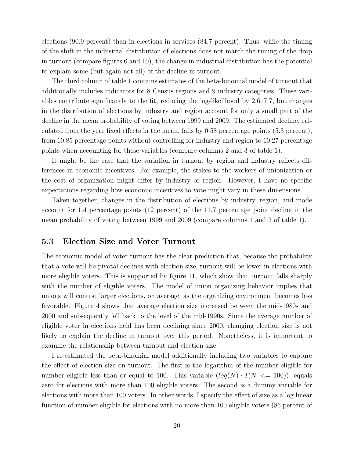elections (90.9 percent) than in elections in services (84.7 percent). Thus, while the timing of the shift in the industrial distribution of elections does not match the timing of the drop in turnout (compare figures 6 and 10), the change in industrial distribution has the potential to explain some (but again not all) of the decline in turnout.

The third column of table 1 contains estimates of the beta-binomial model of turnout that additionally includes indicators for 8 Census regions and 9 industry categories. These variables contribute significantly to the fit, reducing the log-likelihood by 2,617.7, but changes in the distribution of elections by industry and region account for only a small part of the decline in the mean probability of voting between 1999 and 2009. The estimated decline, calculated from the year fixed effects in the mean, falls by 0.58 percentage points (5.3 percent), from 10.85 percentage points without controlling for industry and region to 10.27 percentage points when accounting for these variables (compare columns 2 and 3 of table 1).

It might be the case that the variation in turnout by region and industry reflects differences in economic incentives. For example, the stakes to the workers of unionization or the cost of organization might differ by industry or region. However, I have no specific expectations regarding how economic incentives to vote might vary in these dimensions.

Taken together, changes in the distribution of elections by industry, region, and mode account for 1.4 percentage points (12 percent) of the 11.7 percentage point decline in the mean probability of voting between 1999 and 2009 (compare columns 1 and 3 of table 1).

#### 5.3 Election Size and Voter Turnout

The economic model of voter turnout has the clear prediction that, because the probability that a vote will be pivotal declines with election size, turnout will be lower in elections with more eligible voters. This is supported by figure 11, which show that turnout falls sharply with the number of eligible voters. The model of union organizing behavior implies that unions will contest larger elections, on average, as the organizing environment becomes less favorable. Figure 4 shows that average election size increased between the mid-1980s and 2000 and subsequently fell back to the level of the mid-1990s. Since the average number of eligible voter in elections held has been declining since 2000, changing election size is not likely to explain the decline in turnout over this period. Nonetheless, it is important to examine the relationship between turnout and election size.

I re-estimated the beta-binomial model additionally including two variables to capture the effect of election size on turnout. The first is the logarithm of the number eligible for number eligible less than or equal to 100. This variable  $(log(N) \cdot I(N \leq 100))$ , equals zero for elections with more than 100 eligible voters. The second is a dummy variable for elections with more than 100 voters. In other words, I specify the effect of size as a log linear function of number eligible for elections with no more than 100 eligible voters (86 percent of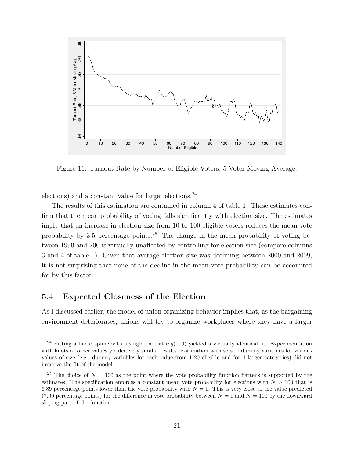

Figure 11: Turnout Rate by Number of Eligible Voters, 5-Voter Moving Average.

elections) and a constant value for larger elections.<sup>24</sup>

The results of this estimation are contained in column 4 of table 1. These estimates confirm that the mean probability of voting falls significantly with election size. The estimates imply that an increase in election size from 10 to 100 eligible voters reduces the mean vote probability by 3.5 percentage points.<sup>25</sup> The change in the mean probability of voting between 1999 and 200 is virtually unaffected by controlling for election size (compare columns 3 and 4 of table 1). Given that average election size was declining between 2000 and 2009, it is not surprising that none of the decline in the mean vote probability can be accounted for by this factor.

#### 5.4 Expected Closeness of the Election

As I discussed earlier, the model of union organizing behavior implies that, as the bargaining environment deteriorates, unions will try to organize workplaces where they have a larger

<sup>&</sup>lt;sup>24</sup> Fitting a linear spline with a single knot at  $log(100)$  yielded a virtually identical fit. Experimentation with knots at other values yielded very similar results. Estimation with sets of dummy variables for various values of size (e.g., dummy variables for each value from 1-20 eligible and for 4 larger categories) did not improve the fit of the model.

<sup>&</sup>lt;sup>25</sup> The choice of  $N = 100$  as the point where the vote probability function flattens is supported by the estimates. The specification enforces a constant mean vote probability for elections with  $N > 100$  that is 6.89 percentage points lower than the vote probability with  $N = 1$ . This is very close to the value predicted (7.09 percentage points) for the difference in vote probability between  $N = 1$  and  $N = 100$  by the downward sloping part of the function.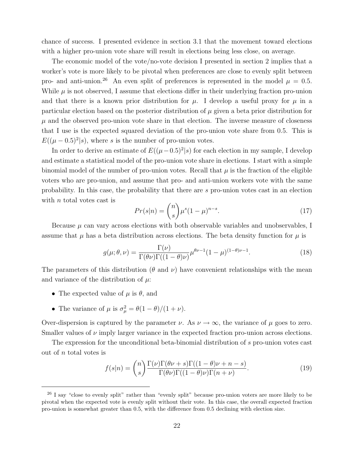chance of success. I presented evidence in section 3.1 that the movement toward elections with a higher pro-union vote share will result in elections being less close, on average.

The economic model of the vote/no-vote decision I presented in section 2 implies that a worker's vote is more likely to be pivotal when preferences are close to evenly split between pro- and anti-union.<sup>26</sup> An even split of preferences is represented in the model  $\mu = 0.5$ . While  $\mu$  is not observed, I assume that elections differ in their underlying fraction pro-union and that there is a known prior distribution for  $\mu$ . I develop a useful proxy for  $\mu$  in a particular election based on the posterior distribution of  $\mu$  given a beta prior distribution for  $\mu$  and the observed pro-union vote share in that election. The inverse measure of closeness that I use is the expected squared deviation of the pro-union vote share from 0.5. This is  $E((\mu - 0.5)^2 | s)$ , where s is the number of pro-union votes.

In order to derive an estimate of  $E((\mu-0.5)^2|s)$  for each election in my sample, I develop and estimate a statistical model of the pro-union vote share in elections. I start with a simple binomial model of the number of pro-union votes. Recall that  $\mu$  is the fraction of the eligible voters who are pro-union, and assume that pro- and anti-union workers vote with the same probability. In this case, the probability that there are s pro-union votes cast in an election with  $n$  total votes cast is

$$
Pr(s|n) = \binom{n}{s} \mu^s (1-\mu)^{n-s}.\tag{17}
$$

Because  $\mu$  can vary across elections with both observable variables and unobservables, I assume that  $\mu$  has a beta distribution across elections. The beta density function for  $\mu$  is

$$
g(\mu; \theta, \nu) = \frac{\Gamma(\nu)}{\Gamma(\theta \nu)\Gamma((1-\theta)\nu)} \mu^{\theta \nu - 1} (1-\mu)^{(1-\theta)\nu - 1}.
$$
 (18)

The parameters of this distribution ( $\theta$  and  $\nu$ ) have convenient relationships with the mean and variance of the distribution of  $\mu$ :

- The expected value of  $\mu$  is  $\theta$ , and
- The variance of  $\mu$  is  $\sigma_{\mu}^2 = \theta(1-\theta)/(1+\nu)$ .

Over-dispersion is captured by the parameter  $\nu$ . As  $\nu \to \infty$ , the variance of  $\mu$  goes to zero. Smaller values of  $\nu$  imply larger variance in the expected fraction pro-union across elections.

The expression for the unconditional beta-binomial distribution of s pro-union votes cast out of n total votes is

$$
f(s|n) = {n \choose s} \frac{\Gamma(\nu)\Gamma(\theta\nu + s)\Gamma((1 - \theta)\nu + n - s)}{\Gamma(\theta\nu)\Gamma((1 - \theta)\nu)\Gamma(n + \nu)}.
$$
 (19)

<sup>&</sup>lt;sup>26</sup> I say "close to evenly split" rather than "evenly split" because pro-union voters are more likely to be pivotal when the expected vote is evenly split without their vote. In this case, the overall expected fraction pro-union is somewhat greater than 0.5, with the difference from 0.5 declining with election size.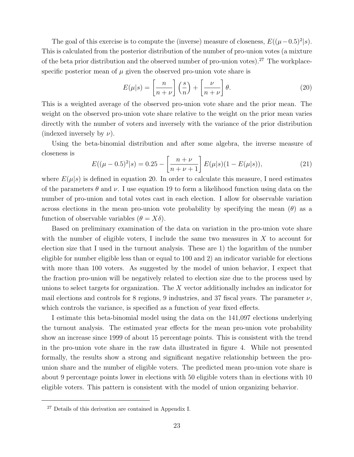The goal of this exercise is to compute the (inverse) measure of closeness,  $E((\mu-0.5)^2|s)$ . This is calculated from the posterior distribution of the number of pro-union votes (a mixture of the beta prior distribution and the observed number of pro-union votes).<sup>27</sup> The workplacespecific posterior mean of  $\mu$  given the observed pro-union vote share is

$$
E(\mu|s) = \left[\frac{n}{n+\nu}\right] \left(\frac{s}{n}\right) + \left[\frac{\nu}{n+\nu}\right] \theta.
$$
 (20)

This is a weighted average of the observed pro-union vote share and the prior mean. The weight on the observed pro-union vote share relative to the weight on the prior mean varies directly with the number of voters and inversely with the variance of the prior distribution (indexed inversely by  $\nu$ ).

Using the beta-binomial distribution and after some algebra, the inverse measure of closeness is

$$
E((\mu - 0.5)^2 | s) = 0.25 - \left[\frac{n + \nu}{n + \nu + 1}\right] E(\mu | s) (1 - E(\mu | s)),\tag{21}
$$

where  $E(\mu|s)$  is defined in equation 20. In order to calculate this measure, I need estimates of the parameters  $\theta$  and  $\nu$ . I use equation 19 to form a likelihood function using data on the number of pro-union and total votes cast in each election. I allow for observable variation across elections in the mean pro-union vote probability by specifying the mean  $(\theta)$  as a function of observable variables  $(\theta = X\delta)$ .

Based on preliminary examination of the data on variation in the pro-union vote share with the number of eligible voters, I include the same two measures in  $X$  to account for election size that I used in the turnout analysis. These are 1) the logarithm of the number eligible for number eligible less than or equal to 100 and 2) an indicator variable for elections with more than 100 voters. As suggested by the model of union behavior, I expect that the fraction pro-union will be negatively related to election size due to the process used by unions to select targets for organization. The X vector additionally includes an indicator for mail elections and controls for 8 regions, 9 industries, and 37 fiscal years. The parameter  $\nu$ , which controls the variance, is specified as a function of year fixed effects.

I estimate this beta-binomial model using the data on the 141,097 elections underlying the turnout analysis. The estimated year effects for the mean pro-union vote probability show an increase since 1999 of about 15 percentage points. This is consistent with the trend in the pro-union vote share in the raw data illustrated in figure 4. While not presented formally, the results show a strong and significant negative relationship between the prounion share and the number of eligible voters. The predicted mean pro-union vote share is about 9 percentage points lower in elections with 50 eligible voters than in elections with 10 eligible voters. This pattern is consistent with the model of union organizing behavior.

<sup>27</sup> Details of this derivation are contained in Appendix I.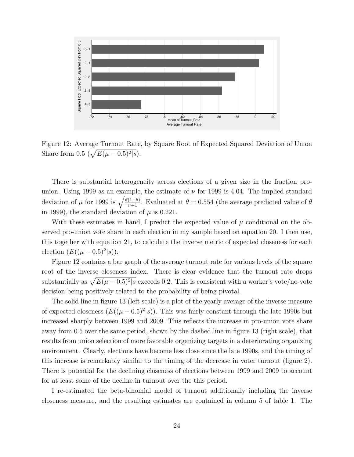

Figure 12: Average Turnout Rate, by Square Root of Expected Squared Deviation of Union Share from 0.5  $(\sqrt{E(\mu - 0.5)^2/s})$ .

There is substantial heterogeneity across elections of a given size in the fraction prounion. Using 1999 as an example, the estimate of  $\nu$  for 1999 is 4.04. The implied standard deviation of  $\mu$  for 1999 is  $\sqrt{\frac{\theta(1-\theta)}{\nu+1}}$ . Evaluated at  $\theta = 0.554$  (the average predicted value of  $\theta$ in 1999), the standard deviation of  $\mu$  is 0.221.

With these estimates in hand, I predict the expected value of  $\mu$  conditional on the observed pro-union vote share in each election in my sample based on equation 20. I then use, this together with equation 21, to calculate the inverse metric of expected closeness for each election  $(E((\mu - 0.5)^2 | s)).$ 

Figure 12 contains a bar graph of the average turnout rate for various levels of the square root of the inverse closeness index. There is clear evidence that the turnout rate drops substantially as  $\sqrt{E(\mu - 0.5)^2/s}$  exceeds 0.2. This is consistent with a worker's vote/no-vote decision being positively related to the probability of being pivotal.

The solid line in figure 13 (left scale) is a plot of the yearly average of the inverse measure of expected closeness  $(E((\mu - 0.5)^2 | s))$ . This was fairly constant through the late 1990s but increased sharply between 1999 and 2009. This reflects the increase in pro-union vote share away from 0.5 over the same period, shown by the dashed line in figure 13 (right scale), that results from union selection of more favorable organizing targets in a deteriorating organizing environment. Clearly, elections have become less close since the late 1990s, and the timing of this increase is remarkably similar to the timing of the decrease in voter turnout (figure 2). There is potential for the declining closeness of elections between 1999 and 2009 to account for at least some of the decline in turnout over the this period.

I re-estimated the beta-binomial model of turnout additionally including the inverse closeness measure, and the resulting estimates are contained in column 5 of table 1. The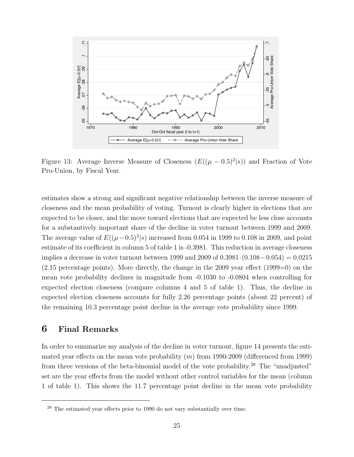

Figure 13: Average Inverse Measure of Closeness  $(E((\mu - 0.5)^2 | s))$  and Fraction of Vote Pro-Union, by Fiscal Year.

estimates show a strong and significant negative relationship between the inverse measure of closeness and the mean probability of voting. Turnout is clearly higher in elections that are expected to be closer, and the move toward elections that are expected be less close accounts for a substantively important share of the decline in voter turnout between 1999 and 2009. The average value of  $E((\mu-0.5)^2|s)$  increased from 0.054 in 1999 to 0.108 in 2009, and point estimate of its coefficient in column 5 of table 1 is -0.3981. This reduction in average closeness implies a decrease in voter turnout between 1999 and 2009 of 0.3981·(0.108−0.054) = 0.0215  $(2.15 \text{ percentage points})$ . More directly, the change in the 2009 year effect  $(1999=0)$  on the mean vote probability declines in magnitude from -0.1030 to -0.0804 when controlling for expected election closeness (compare columns 4 and 5 of table 1). Thus, the decline in expected election closeness accounts for fully 2.26 percentage points (about 22 percent) of the remaining 10.3 percentage point decline in the average vote probability since 1999.

#### 6 Final Remarks

In order to summarize my analysis of the decline in voter turnout, figure 14 presents the estimated year effects on the mean vote probability  $(m)$  from 1990-2009 (differenced from 1999) from three versions of the beta-binomial model of the vote probability.<sup>28</sup> The "unadjusted" set are the year effects from the model without other control variables for the mean (column 1 of table 1). This shows the 11.7 percentage point decline in the mean vote probability

 $28$  The estimated year effects prior to 1990 do not vary substantially over time.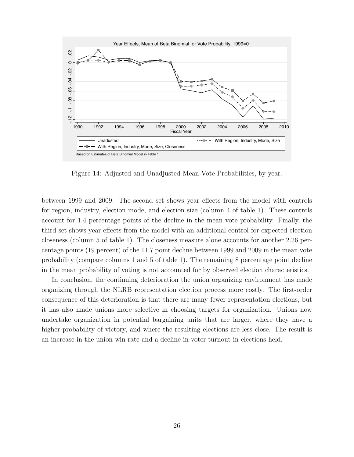

Figure 14: Adjusted and Unadjusted Mean Vote Probabilities, by year.

between 1999 and 2009. The second set shows year effects from the model with controls for region, industry, election mode, and election size (column 4 of table 1). These controls account for 1.4 percentage points of the decline in the mean vote probability. Finally, the third set shows year effects from the model with an additional control for expected election closeness (column 5 of table 1). The closeness measure alone accounts for another 2.26 percentage points (19 percent) of the 11.7 point decline between 1999 and 2009 in the mean vote probability (compare columns 1 and 5 of table 1). The remaining 8 percentage point decline in the mean probability of voting is not accounted for by observed election characteristics.

In conclusion, the continuing deterioration the union organizing environment has made organizing through the NLRB representation election process more costly. The first-order consequence of this deterioration is that there are many fewer representation elections, but it has also made unions more selective in choosing targets for organization. Unions now undertake organization in potential bargaining units that are larger, where they have a higher probability of victory, and where the resulting elections are less close. The result is an increase in the union win rate and a decline in voter turnout in elections held.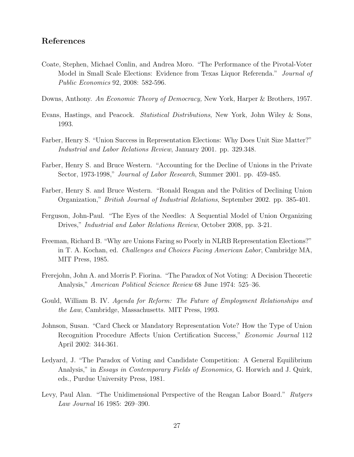#### References

- Coate, Stephen, Michael Conlin, and Andrea Moro. "The Performance of the Pivotal-Voter Model in Small Scale Elections: Evidence from Texas Liquor Referenda." Journal of Public Economics 92, 2008: 582-596.
- Downs, Anthony. An Economic Theory of Democracy, New York, Harper & Brothers, 1957.
- Evans, Hastings, and Peacock. Statistical Distributions, New York, John Wiley & Sons, 1993.
- Farber, Henry S. "Union Success in Representation Elections: Why Does Unit Size Matter?" Industrial and Labor Relations Review, January 2001. pp. 329.348.
- Farber, Henry S. and Bruce Western. "Accounting for the Decline of Unions in the Private Sector, 1973-1998," Journal of Labor Research, Summer 2001. pp. 459-485.
- Farber, Henry S. and Bruce Western. "Ronald Reagan and the Politics of Declining Union Organization," British Journal of Industrial Relations, September 2002. pp. 385-401.
- Ferguson, John-Paul. "The Eyes of the Needles: A Sequential Model of Union Organizing Drives," Industrial and Labor Relations Review, October 2008, pp. 3-21.
- Freeman, Richard B. "Why are Unions Faring so Poorly in NLRB Representation Elections?" in T. A. Kochan, ed. Challenges and Choices Facing American Labor, Cambridge MA, MIT Press, 1985.
- Frerejohn, John A. and Morris P. Fiorina. "The Paradox of Not Voting: A Decision Theoretic Analysis," American Political Science Review 68 June 1974: 525–36.
- Gould, William B. IV. Agenda for Reform: The Future of Employment Relationships and the Law, Cambridge, Massachusetts. MIT Press, 1993.
- Johnson, Susan. "Card Check or Mandatory Representation Vote? How the Type of Union Recognition Procedure Affects Union Certification Success," Economic Journal 112 April 2002: 344-361.
- Ledyard, J. "The Paradox of Voting and Candidate Competition: A General Equilibrium Analysis," in Essays in Contemporary Fields of Economics, G. Horwich and J. Quirk, eds., Purdue University Press, 1981.
- Levy, Paul Alan. "The Unidimensional Perspective of the Reagan Labor Board." Rutgers Law Journal 16 1985: 269–390.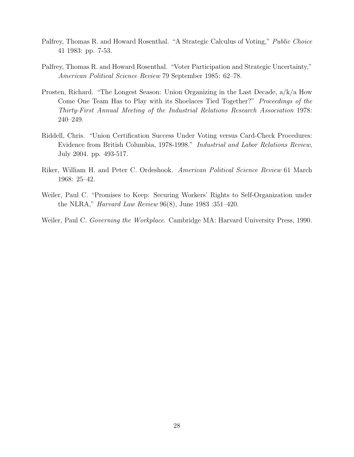- Palfrey, Thomas R. and Howard Rosenthal. "A Strategic Calculus of Voting," *Public Choice* 41 1983: pp. 7-53.
- Palfrey, Thomas R. and Howard Rosenthal. "Voter Participation and Strategic Uncertainty," American Political Science Review 79 September 1985: 62–78.
- Prosten, Richard. "The Longest Season: Union Organizing in the Last Decade, a/k/a How Come One Team Has to Play with its Shoelaces Tied Together?" Proceedings of the Thirty-First Annual Meeting of the Industrial Relations Research Association 1978: 240–249.
- Riddell, Chris. "Union Certification Success Under Voting versus Card-Check Procedures: Evidence from British Columbia, 1978-1998." Industrial and Labor Relations Review, July 2004. pp. 493-517.
- Riker, William H. and Peter C. Ordeshook. American Political Science Review 61 March 1968: 25–42.
- Weiler, Paul C. "Promises to Keep: Securing Workers' Rights to Self-Organization under the NLRA," Harvard Law Review 96(8), June 1983 :351–420.
- Weiler, Paul C. Governing the Workplace. Cambridge MA: Harvard University Press, 1990.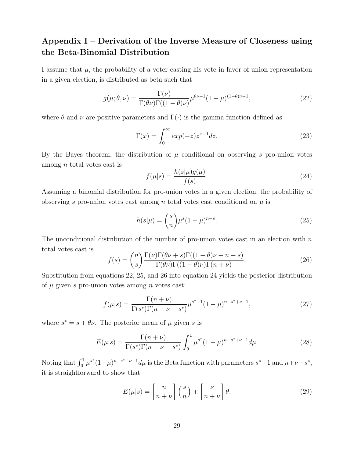## Appendix I – Derivation of the Inverse Measure of Closeness using the Beta-Binomial Distribution

I assume that  $\mu$ , the probability of a voter casting his vote in favor of union representation in a given election, is distributed as beta such that

$$
g(\mu;\theta,\nu) = \frac{\Gamma(\nu)}{\Gamma(\theta\nu)\Gamma((1-\theta)\nu)}\mu^{\theta\nu-1}(1-\mu)^{(1-\theta)\nu-1},\tag{22}
$$

where  $\theta$  and  $\nu$  are positive parameters and  $\Gamma(\cdot)$  is the gamma function defined as

$$
\Gamma(x) = \int_0^\infty \exp(-z) z^{x-1} dz.
$$
\n(23)

By the Bayes theorem, the distribution of  $\mu$  conditional on observing s pro-union votes among n total votes cast is

$$
f(\mu|s) = \frac{h(s|\mu)g(\mu)}{f(s)}.\tag{24}
$$

Assuming a binomial distribution for pro-union votes in a given election, the probability of observing s pro-union votes cast among n total votes cast conditional on  $\mu$  is

$$
h(s|\mu) = {s \choose n} \mu^s (1-\mu)^{n-s}.
$$
 (25)

The unconditional distribution of the number of pro-union votes cast in an election with  $n$ total votes cast is

$$
f(s) = {n \choose s} \frac{\Gamma(\nu)\Gamma(\theta\nu + s)\Gamma((1 - \theta)\nu + n - s)}{\Gamma(\theta\nu)\Gamma((1 - \theta)\nu)\Gamma(n + \nu)}.
$$
 (26)

Substitution from equations 22, 25, and 26 into equation 24 yields the posterior distribution of  $\mu$  given s pro-union votes among n votes cast:

$$
f(\mu|s) = \frac{\Gamma(n+\nu)}{\Gamma(s^*)\Gamma(n+\nu-s^*)} \mu^{s^*-1} (1-\mu)^{n-s^*+\nu-1},
$$
\n(27)

where  $s^* = s + \theta \nu$ . The posterior mean of  $\mu$  given s is

$$
E(\mu|s) = \frac{\Gamma(n+\nu)}{\Gamma(s^*)\Gamma(n+\nu-s^*)} \int_0^1 \mu^{s^*} (1-\mu)^{n-s^*+\nu-1} d\mu.
$$
 (28)

Noting that  $\int_0^1 \mu^{s^*}(1-\mu)^{n-s^*+\nu-1}d\mu$  is the Beta function with parameters  $s^*+1$  and  $n+\nu-s^*$ , it is straightforward to show that

$$
E(\mu|s) = \left[\frac{n}{n+\nu}\right] \left(\frac{s}{n}\right) + \left[\frac{\nu}{n+\nu}\right] \theta.
$$
 (29)